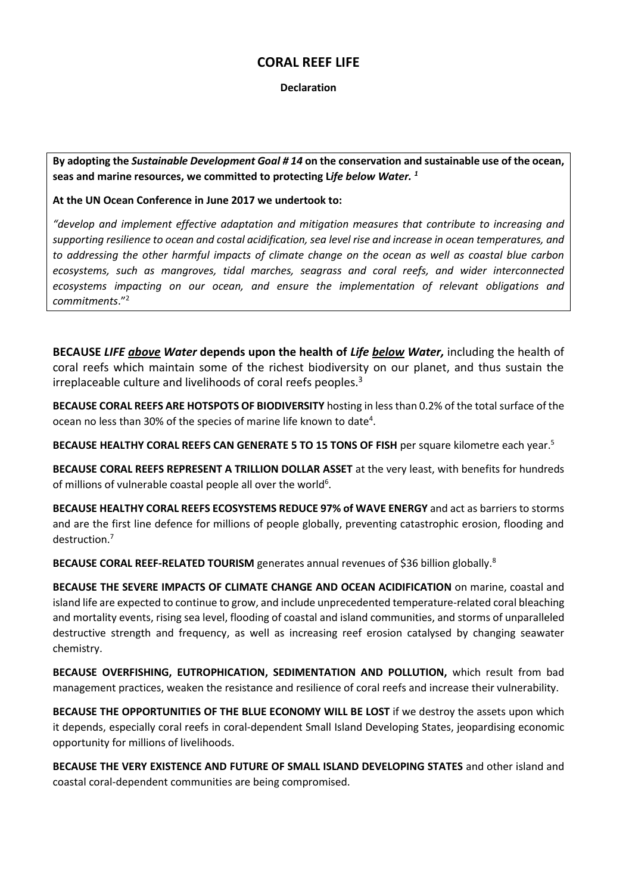## **CORAL REEF LIFE**

## **Declaration**

**By adopting the** *Sustainable Development Goal # 14* **on the conservation and sustainable use of the ocean, seas and marine resources, we committed to protecting L***ife below Water. 1*

## **At the UN Ocean Conference in June 2017 we undertook to:**

*"develop and implement effective adaptation and mitigation measures that contribute to increasing and supporting resilience to ocean and costal acidification, sea level rise and increase in ocean temperatures, and to addressing the other harmful impacts of climate change on the ocean as well as coastal blue carbon ecosystems, such as mangroves, tidal marches, seagrass and coral reefs, and wider interconnected ecosystems impacting on our ocean, and ensure the implementation of relevant obligations and commitments*."<sup>2</sup>

**BECAUSE** *LIFE above Water* **depends upon the health of** *Life below Water,* including the health of coral reefs which maintain some of the richest biodiversity on our planet, and thus sustain the irreplaceable culture and livelihoods of coral reefs peoples.<sup>3</sup>

**BECAUSE CORAL REEFS ARE HOTSPOTS OF BIODIVERSITY** hosting in less than 0.2% of the total surface of the ocean no less than 30% of the species of marine life known to date<sup>4</sup>.

**BECAUSE HEALTHY CORAL REEFS CAN GENERATE 5 TO 15 TONS OF FISH** per square kilometre each year.<sup>5</sup>

**BECAUSE CORAL REEFS REPRESENT A TRILLION DOLLAR ASSET** at the very least, with benefits for hundreds of millions of vulnerable coastal people all over the world $6$ .

**BECAUSE HEALTHY CORAL REEFS ECOSYSTEMS REDUCE 97% of WAVE ENERGY** and act as barriers to storms and are the first line defence for millions of people globally, preventing catastrophic erosion, flooding and destruction.<sup>7</sup>

**BECAUSE CORAL REEF-RELATED TOURISM** generates annual revenues of \$36 billion globally.<sup>8</sup>

**BECAUSE THE SEVERE IMPACTS OF CLIMATE CHANGE AND OCEAN ACIDIFICATION** on marine, coastal and island life are expected to continue to grow, and include unprecedented temperature-related coral bleaching and mortality events, rising sea level, flooding of coastal and island communities, and storms of unparalleled destructive strength and frequency, as well as increasing reef erosion catalysed by changing seawater chemistry.

**BECAUSE OVERFISHING, EUTROPHICATION, SEDIMENTATION AND POLLUTION,** which result from bad management practices, weaken the resistance and resilience of coral reefs and increase their vulnerability.

**BECAUSE THE OPPORTUNITIES OF THE BLUE ECONOMY WILL BE LOST** if we destroy the assets upon which it depends, especially coral reefs in coral-dependent Small Island Developing States, jeopardising economic opportunity for millions of livelihoods.

**BECAUSE THE VERY EXISTENCE AND FUTURE OF SMALL ISLAND DEVELOPING STATES** and other island and coastal coral-dependent communities are being compromised.